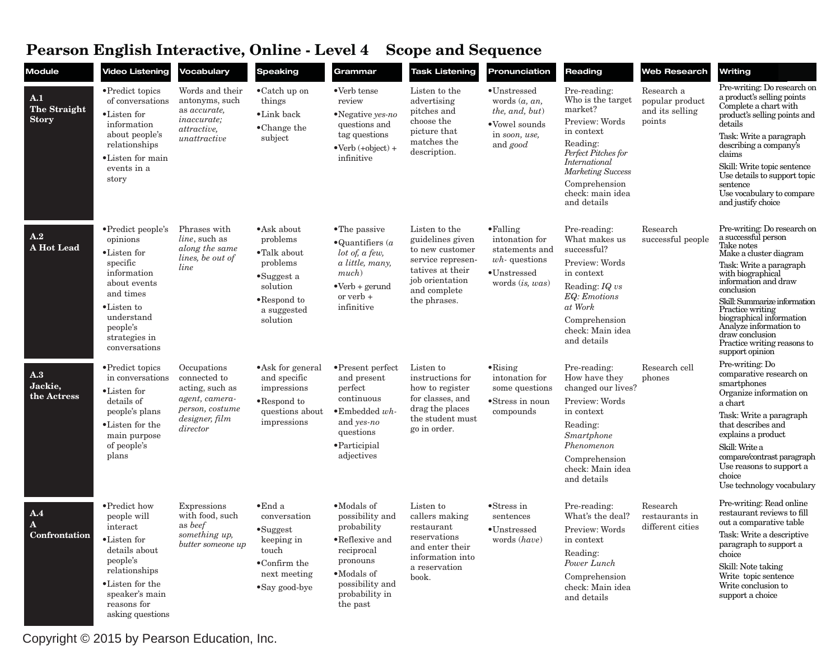## **Pearson English Interactive, Online - Level 4 Scope and Sequence**

| Module                                     | <b>Video Listening</b>                                                                                                                                                          | <b>Vocabulary</b>                                                                                                 | <b>Speaking</b>                                                                                                                                | Grammar                                                                                                                                                 | <b>Task Listening</b>                                                                                                                            | Pronunciation                                                                                                          | Reading                                                                                                                                                                                                          | <b>Web Research</b>                                        | Writing                                                                                                                                                                                                                                                                                                                                                         |
|--------------------------------------------|---------------------------------------------------------------------------------------------------------------------------------------------------------------------------------|-------------------------------------------------------------------------------------------------------------------|------------------------------------------------------------------------------------------------------------------------------------------------|---------------------------------------------------------------------------------------------------------------------------------------------------------|--------------------------------------------------------------------------------------------------------------------------------------------------|------------------------------------------------------------------------------------------------------------------------|------------------------------------------------------------------------------------------------------------------------------------------------------------------------------------------------------------------|------------------------------------------------------------|-----------------------------------------------------------------------------------------------------------------------------------------------------------------------------------------------------------------------------------------------------------------------------------------------------------------------------------------------------------------|
| A.1<br><b>The Straight</b><br><b>Story</b> | • Predict topics<br>of conversations<br>•Listen for<br>information<br>about people's<br>relationships<br>•Listen for main<br>events in a<br>story                               | Words and their<br>antonyms, such<br>as accurate,<br><i>inaccurate</i> ;<br><i>attractive</i> ,<br>unattractive   | $\bullet$ Catch up on<br>things<br>$\bullet$ Link back<br>$\bullet$ Change the<br>subject                                                      | •Verb tense<br>review<br>•Negative yes-no<br>questions and<br>tag questions<br>$\bullet$ Verb $(+$ object $)$ +<br>infinitive                           | Listen to the<br>advertising<br>pitches and<br>choose the<br>picture that<br>matches the<br>description.                                         | $\bullet$ Unstressed<br>words $(a, an,$<br>the, and, but)<br>•Vowel sounds<br>in soon, use,<br>and good                | Pre-reading:<br>Who is the target<br>market?<br>Preview: Words<br>in context<br>Reading:<br>Perfect Pitches for<br>International<br><b>Marketing Success</b><br>Comprehension<br>check: main idea<br>and details | Research a<br>popular product<br>and its selling<br>points | Pre-writing: Do research on<br>a product's selling points<br>Complete a chart with<br>product's selling points and<br>details<br>Task: Write a paragraph<br>describing a company's<br>claims<br>Skill: Write topic sentence<br>Use details to support topic<br>sentence<br>Use vocabulary to compare<br>and justify choice                                      |
| A.2<br>A Hot Lead                          | • Predict people's<br>opinions<br>•Listen for<br>specific<br>information<br>about events<br>and times<br>•Listen to<br>understand<br>people's<br>strategies in<br>conversations | Phrases with<br><i>line</i> , such as<br>along the same<br>lines, be out of<br>line                               | •Ask about<br>problems<br>•Talk about<br>problems<br>$\bullet$ Suggest a<br>solution<br>$\bullet$ Respond to<br>a suggested<br>solution        | • The passive<br>$\bullet$ Quantifiers (a<br>lot of, a few,<br>a little, many,<br>$much$ )<br>$\bullet$ Verb + gerund<br>or verb +<br>infinitive        | Listen to the<br>guidelines given<br>to new customer<br>service represen-<br>tatives at their<br>job orientation<br>and complete<br>the phrases. | $\bullet$ Falling<br>intonation for<br>statements and<br>$wh$ - questions<br>$\bullet$ Unstressed<br>words $(is, was)$ | Pre-reading:<br>What makes us<br>successful?<br>Preview: Words<br>in context<br>Reading: IQ vs<br>EQ: Emotions<br>at Work<br>Comprehension<br>check: Main idea<br>and details                                    | Research<br>successful people                              | Pre-writing: Do research on<br>a successful person<br>Take notes<br>Make a cluster diagram<br>Task: Write a paragraph<br>with biographical<br>information and draw<br>conclusion<br>Skill: Summarize information<br>Practice writing<br>biographical information<br>Analyze information to<br>draw conclusion<br>Practice writing reasons to<br>support opinion |
| A.3<br>Jackie,<br>the Actress              | • Predict topics<br>in conversations<br>•Listen for<br>details of<br>people's plans<br>•Listen for the<br>main purpose<br>of people's<br>plans                                  | Occupations<br>connected to<br>acting, such as<br>agent, camera-<br>person, costume<br>designer, film<br>director | • Ask for general<br>and specific<br>impressions<br>•Respond to<br>questions about<br>impressions                                              | $\bullet$ Present perfect<br>and present<br>perfect<br>continuous<br>$\bullet$ Embedded wh-<br>and yes-no<br>questions<br>·Participial<br>adjectives    | Listen to<br>instructions for<br>how to register<br>for classes, and<br>drag the places<br>the student must<br>go in order.                      | $\bullet$ Rising<br>intonation for<br>some questions<br>•Stress in noun<br>compounds                                   | Pre-reading:<br>How have they<br>changed our lives?<br>Preview: Words<br>in context<br>Reading:<br>Smartphone<br>Phenomenon<br>Comprehension<br>check: Main idea<br>and details                                  | Research cell<br>phones                                    | Pre-writing: Do<br>comparative research on<br>smartphones<br>Organize information on<br>a chart<br>Task: Write a paragraph<br>that describes and<br>explains a product<br>Skill: Write a<br>compare/contrast paragraph<br>Use reasons to support a<br>choice<br>Use technology vocabulary                                                                       |
| A.4<br>${\bf A}$<br>Confrontation          | • Predict how<br>people will<br>interact<br>•Listen for<br>details about<br>people's<br>relationships<br>•Listen for the<br>speaker's main<br>reasons for<br>asking questions   | Expressions<br>with food, such<br>as beef<br>$\emph{something up},$<br>butter someone up                          | $\bullet$ End a<br>conversation<br>$\bullet$ Suggest<br>keeping in<br>touch<br>$\bullet$ Confirm the<br>next meeting<br>$\bullet$ Say good-bye | •Modals of<br>possibility and<br>probability<br>•Reflexive and<br>reciprocal<br>pronouns<br>•Modals of<br>possibility and<br>probability in<br>the past | Listen to<br>callers making<br>restaurant<br>reservations<br>and enter their<br>information into<br>a reservation<br>book.                       | $\bullet$ Stress in<br>sentences<br>$\bullet$ Unstressed<br>words (have)                                               | Pre-reading:<br>What's the deal?<br>Preview: Words<br>in context<br>Reading:<br>Power Lunch<br>Comprehension<br>check: Main idea<br>and details                                                                  | Research<br>restaurants in<br>different cities             | Pre-writing: Read online<br>restaurant reviews to fill<br>out a comparative table<br>Task: Write a descriptive<br>paragraph to support a<br>choice<br>Skill: Note taking<br>Write topic sentence<br>Write conclusion to<br>support a choice                                                                                                                     |

Copyright © 2015 by Pearson Education, Inc.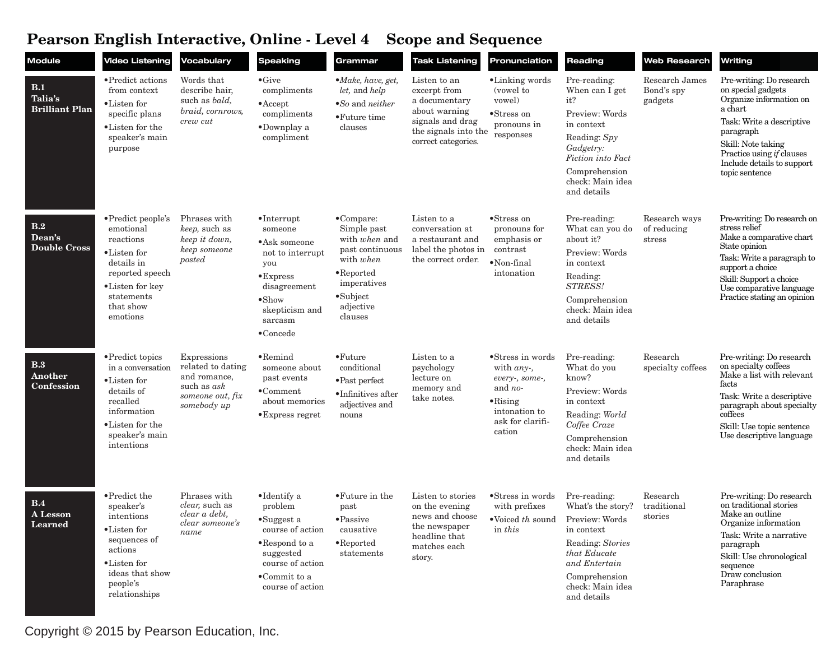## **Pearson English Interactive, Online - Level 4 Scope and Sequence**

| <b>Module</b>                                  | <b>Video Listening</b>                                                                                                                                         | Vocabulary                                                                                         | <b>Speaking</b>                                                                                                                                                                    | Grammar                                                                                                                                                              | <b>Task Listening</b>                                                                                                             | Pronunciation                                                                                                                    | Reading                                                                                                                                                                     | Web Research                            | Writing                                                                                                                                                                                                                           |
|------------------------------------------------|----------------------------------------------------------------------------------------------------------------------------------------------------------------|----------------------------------------------------------------------------------------------------|------------------------------------------------------------------------------------------------------------------------------------------------------------------------------------|----------------------------------------------------------------------------------------------------------------------------------------------------------------------|-----------------------------------------------------------------------------------------------------------------------------------|----------------------------------------------------------------------------------------------------------------------------------|-----------------------------------------------------------------------------------------------------------------------------------------------------------------------------|-----------------------------------------|-----------------------------------------------------------------------------------------------------------------------------------------------------------------------------------------------------------------------------------|
| <b>B.1</b><br>Talia's<br><b>Brilliant Plan</b> | • Predict actions<br>from context<br>$\bullet$ Listen for<br>specific plans<br>•Listen for the<br>speaker's main<br>purpose                                    | Words that<br>describe hair,<br>such as <i>bald</i> ,<br>braid, cornrows,<br>crew cut              | $\bullet$ Give<br>compliments<br>$\bullet$ Accept<br>compliments<br>$\bullet$ Downplay a<br>compliment                                                                             | $\bullet$ <i>Make, have, get,</i><br>let, and help<br>$\bullet$ So and neither<br>$\bullet$ Future time<br>clauses                                                   | Listen to an<br>excerpt from<br>a documentary<br>about warning<br>signals and drag<br>the signals into the<br>correct categories. | •Linking words<br>(vowel to<br>vowel)<br>•Stress on<br>pronouns in<br>responses                                                  | Pre-reading:<br>When can I get<br>it?<br>Preview: Words<br>in context<br>Reading: Spy<br>Gadgetry:<br>Fiction into Fact<br>Comprehension<br>check: Main idea<br>and details | Research James<br>Bond's spy<br>gadgets | Pre-writing: Do research<br>on special gadgets<br>Organize information on<br>a chart<br>Task: Write a descriptive<br>paragraph<br>Skill: Note taking<br>Practice using if clauses<br>Include details to support<br>topic sentence |
| B.2<br>Dean's<br><b>Double Cross</b>           | $\bullet$ Predict people's<br>emotional<br>reactions<br>•Listen for<br>details in<br>reported speech<br>•Listen for key<br>statements<br>that show<br>emotions | Phrases with<br>keep, such as<br>keep it down,<br>keep someone<br>posted                           | $\bullet$ Interrupt<br>someone<br>•Ask someone<br>not to interrupt<br>you<br>$\bullet$ Express<br>disagreement<br>$\bullet$ Show<br>skepticism and<br>sarcasm<br>$\bullet$ Concede | $\bullet$ Compare:<br>Simple past<br>with when and<br>past continuous<br>with when<br>$\bullet$ Reported<br>imperatives<br>$\bullet$ Subject<br>adjective<br>clauses | Listen to a<br>conversation at<br>a restaurant and<br>label the photos in<br>the correct order.                                   | $\bullet$ Stress on<br>pronouns for<br>emphasis or<br>contrast<br>$\bullet$ Non-final<br>intonation                              | Pre-reading:<br>What can you do<br>about it?<br>Preview: Words<br>in context<br>Reading:<br>STRESS!<br>Comprehension<br>check: Main idea<br>and details                     | Research ways<br>of reducing<br>stress  | Pre-writing: Do research on<br>stress relief<br>Make a comparative chart<br>State opinion<br>Task: Write a paragraph to<br>support a choice<br>Skill: Support a choice<br>Use comparative language<br>Practice stating an opinion |
| B.3<br>Another<br>Confession                   | • Predict topics<br>in a conversation<br>•Listen for<br>details of<br>recalled<br>information<br>•Listen for the<br>speaker's main<br>intentions               | Expressions<br>related to dating<br>and romance,<br>such as ask<br>someone out, fix<br>somebody up | $\bullet$ Remind<br>someone about<br>past events<br>$\bullet$ Comment<br>about memories<br>$\bullet$ Express regret                                                                | $\bullet$ Future<br>conditional<br>$\bullet$ Past perfect<br>•Infinitives after<br>adjectives and<br>nouns                                                           | Listen to a<br>psychology<br>lecture on<br>memory and<br>take notes.                                                              | •Stress in words<br>with $any$ .<br>every-, some-,<br>and no-<br>$\bullet$ Rising<br>intonation to<br>ask for clarifi-<br>cation | Pre-reading:<br>What do you<br>know?<br>Preview: Words<br>in context<br>Reading: World<br>Coffee Craze<br>Comprehension<br>check: Main idea<br>and details                  | Research<br>specialty coffees           | Pre-writing: Do research<br>on specialty coffees<br>Make a list with relevant<br>facts<br>Task: Write a descriptive<br>paragraph about specialty<br>coffees<br>Skill: Use topic sentence<br>Use descriptive language              |
| B.4<br>A Lesson<br>Learned                     | • Predict the<br>speaker's<br>intentions<br>•Listen for<br>sequences of<br>actions<br>•Listen for<br>ideas that show<br>people's<br>relationships              | Phrases with<br>clear, such as<br>clear a debt,<br>clear someone's<br>name                         | $\bullet$ Identify a<br>problem<br>$\bullet$ Suggest a<br>course of action<br>$\bullet$ Respond to a<br>suggested<br>course of action<br>.Commit to a<br>course of action          | • Future in the<br>past<br>$\bullet$ Passive<br>causative<br>$\bullet$ Reported<br>statements                                                                        | Listen to stories<br>on the evening<br>news and choose<br>the newspaper<br>headline that<br>matches each<br>story.                | •Stress in words<br>with prefixes<br>$\bullet$ Voiced th sound<br>in this                                                        | Pre-reading:<br>What's the story?<br>Preview: Words<br>in context<br>Reading: Stories<br>that Educate<br>and Entertain<br>Comprehension<br>check: Main idea<br>and details  | Research<br>traditional<br>stories      | Pre-writing: Do research<br>on traditional stories<br>Make an outline<br>Organize information<br>Task: Write a narrative<br>paragraph<br>Skill: Use chronological<br>sequence<br>Draw conclusion<br>Paraphrase                    |

Copyright © 2015 by Pearson Education, Inc.